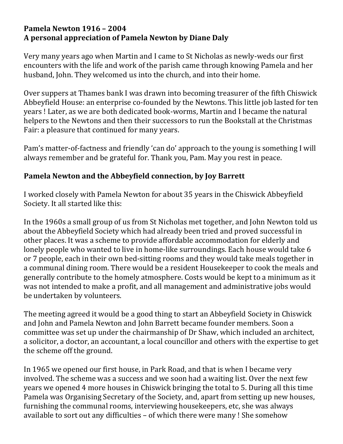## **Pamela Newton 1916 – 2004 A personal appreciation of Pamela Newton by Diane Daly**

Very many years ago when Martin and I came to St Nicholas as newly-weds our first encounters with the life and work of the parish came through knowing Pamela and her husband, John. They welcomed us into the church, and into their home.

Over suppers at Thames bank I was drawn into becoming treasurer of the fifth Chiswick Abbeyfield House: an enterprise co-founded by the Newtons. This little job lasted for ten years ! Later, as we are both dedicated book-worms, Martin and I became the natural helpers to the Newtons and then their successors to run the Bookstall at the Christmas Fair: a pleasure that continued for many years.

Pam's matter-of-factness and friendly 'can do' approach to the young is something I will always remember and be grateful for. Thank you, Pam. May you rest in peace.

## **Pamela Newton and the Abbeyfield connection, by Joy Barrett**

I worked closely with Pamela Newton for about 35 years in the Chiswick Abbeyfield Society. It all started like this:

In the 1960s a small group of us from St Nicholas met together, and John Newton told us about the Abbeyfield Society which had already been tried and proved successful in other places. It was a scheme to provide affordable accommodation for elderly and lonely people who wanted to live in home-like surroundings. Each house would take 6 or 7 people, each in their own bed-sitting rooms and they would take meals together in a communal dining room. There would be a resident Housekeeper to cook the meals and generally contribute to the homely atmosphere. Costs would be kept to a minimum as it was not intended to make a profit, and all management and administrative jobs would be undertaken by volunteers.

The meeting agreed it would be a good thing to start an Abbeyfield Society in Chiswick and John and Pamela Newton and John Barrett became founder members. Soon a committee was set up under the chairmanship of Dr Shaw, which included an architect, a solicitor, a doctor, an accountant, a local councillor and others with the expertise to get the scheme off the ground.

In 1965 we opened our first house, in Park Road, and that is when I became very involved. The scheme was a success and we soon had a waiting list. Over the next few years we opened 4 more houses in Chiswick bringing the total to 5. During all this time Pamela was Organising Secretary of the Society, and, apart from setting up new houses, furnishing the communal rooms, interviewing housekeepers, etc, she was always available to sort out any difficulties – of which there were many ! She somehow